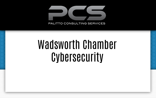

Wadsworth Chamber **Cybersecurity**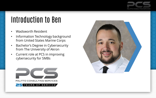

# Introduction to Ben

- Wadsworth Resident
- Information Technology background from United States Marine Corps
- Bachelor's Degree in Cybersecurity from The University of Akron
- Current role at PCS in improving cybersecurity for SMBs



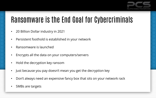

### Ransomware is the End Goal for Cybercriminals

- 20 Billion Dollar industry in 2021
- Persistent foothold is established in your network
- Ransomware is launched
- Encrypts all the data on your computers/servers
- Hold the decryption key ransom
- Just because you pay doesn't mean you get the decryption key
- Don't always need an expensive fancy box that sits on your network rack
- SMBs are targets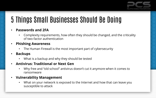

# 5 Things Small Businesses Should Be Doing

#### • **Passwords and 2FA**

• Complexity requirements, how often they should be changed, and the criticality of two-factor authentication

#### • **Phishing Awareness**

- The Human Firewall is the most important part of cybersecurity
- **Backups**
	- What is a backup and why they should be tested

#### • **Antivirus: Traditional or Next Gen**

- Why free and "old school" antivirus doesn't cut it anymore when it comes to ransomware
- **Vulnerability Management**
	- What on your network is exposed to the Internet and how that can leave you susceptible to attack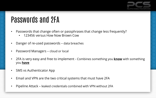

## Passwords and 2FA

- Passwords that change often or passphrases that change less frequently?
	- 123456 versus How Now Brown Cow
- Danger of re-used passwords data breaches
- Password Managers cloud or local
- 2FA is very easy and free to implement Combines something you **know** with something you **have**
- SMS vs Authenticator App
- Email and VPN are the two critical systems that must have 2FA
- Pipeline Attack leaked credentials combined with VPN without 2FA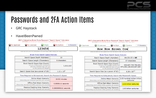

## Passwords and 2FA Action Items

- **GRC Haystack**  $\bullet$
- HavelBeenPwned  $\bullet$

#### GRC's Interactive Brute Force Password "Search Space" Calculator

(NOTHING you do here ever leaves your browser. What happens here, stays here.)

| No Uppercase | No Lowercase | 6 Digits | No Symbols | 6 Characters | 4 Uppercase | 10 Lowercase      | l No Diaits | <sup>₹</sup> 3 Symbols | 17 Characters |
|--------------|--------------|----------|------------|--------------|-------------|-------------------|-------------|------------------------|---------------|
|              |              | 123456   |            |              |             | How Now Brown Cow |             |                        |               |

Enter and edit your test passwords in the field above while viewing the analysis below.

#### Brute Force Search Space Analysis:

| 10                   | Search Space Depth (Alphabet):                                                                                                        |  |
|----------------------|---------------------------------------------------------------------------------------------------------------------------------------|--|
| 6 characters         | Search Space Length (Characters):                                                                                                     |  |
| 1,111,110            | Exact Search Space Size (Count):<br>(count of all possible passwords)<br>with this alphabet size and up<br>to this password's length) |  |
| $1.11 \times 10^{6}$ | Search Space Size (as a power of 10):                                                                                                 |  |

#### Time Required to Exhaustively Search this Password's Space:

| 18.52 minutes        | Online Attack Scenario:<br>(Assuming one thousand guesses per second)                  |
|----------------------|----------------------------------------------------------------------------------------|
| 0.0000111 seconds    | Offline Fast Attack Scenario:<br>(Assuming one hundred billion guesses per second)     |
| 0.0000000111 seconds | Massive Cracking Array Scenario:<br>(Assuming one hundred trillion guesses per second) |

Enter and edit your test passwords in the field above while viewing the analysis below.

GRC's Interactive Brute Force Password "Search Space" Calculator

(NOTHING you do here ever leaves your browser. What happens here, stays here.)

#### Brute Force Search Space Analysis:

| $26+26+33 = 85$                                 | Search Space Depth (Alphabet):                                                                                                       |
|-------------------------------------------------|--------------------------------------------------------------------------------------------------------------------------------------|
|                                                 |                                                                                                                                      |
| 17 characters                                   | Search Space Length (Characters):                                                                                                    |
| 638,647,735,780,430,<br>975,006,148,928,687,685 | Exact Search Space Size (Count):<br>(count of all possible passwords<br>with this alphabet size and up<br>to this password's length) |
| 6.39 x $10^{32}$                                | Search Space Size (as a power of 10):                                                                                                |

#### Time Required to Exhaustively Search this Password's Space:

| (Assuming one thousand guesses per second)                                               | Online Attack Scenario:   2.03 hundred million trillion  <br>centuries |  |  |
|------------------------------------------------------------------------------------------|------------------------------------------------------------------------|--|--|
| Offline Fast Attack Scenario:<br>(Assuming one hundred billion guesses per second)       | 2.03 trillion centuries                                                |  |  |
| Massive Cracking Array Scenario:  <br>(Assuming one hundred trillion guesses per second) | 2.03 billion centuries                                                 |  |  |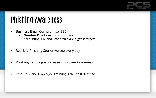

## Phishing Awareness

- Business Email Compromise (BEC)
	- **Number One** form of compromise
	- Accounting, HR, and Leadership are biggest targets
- Real Life Phishing Stories we see every day
- Phishing Campaigns Increase Employee Awareness
- Email 2FA and Employee Training is the best defense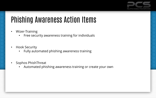

## Phishing Awareness Action Items

- Wizer-Training
	- Free security awareness training for individuals
- Hook Security
	- Fully automated phishing awareness training
- Sophos PhishThreat
	- Automated phishing awareness training or create your own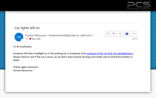

#### Car lights left on

**HR** 

Human Resources <hrdepartment@global-hr-staff.com> To ● Ben Zelei



To all employees,

Someone left their headlight on in the parking lot. A employee took a picture of the car that I've uploaded here. Please check to see if this car is yours, as we don't want anyone leaving work today only to find there battery is dead!

Thanks again everyone. Human Resources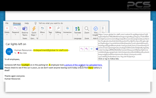



#### Car lights left on

Human Resources <hrdepartment@global-hr-staff.com> To ● Ben Zelei



Insight https://www.global-hr-staff.com/custom?t=eyjhbgcioijiuzi1nij9. eyj0cmfja2luz190b2tlbii6ime3mquwoqiwltkyyjctnquxyi1hztc0lthh Add-in zwi3zjbmywzmncisimnlbqwioijodhrwczovlzixzzzqznzoetyuzxhly3v 0zs1hcgkudxmtzwfzdc0ylmftyxpvbmf3cy5jb20vchjvzc9hcgkvcgh pc2hpbmdjyw1wywlnbiisimnhbxbhawdux3rva2vuijoimtlhnwq1y mytztqyyi00yjjmltlknmutndu1nze3yzy3ndc2iiwic2yszwn0zwrfyxr0 ywnrx3rva2vuijoizmjjm2exymutzgi2ns00m2izlwi5ztqtodkyngi2ztq xodu1iiwidqvzdf90b2tlbii6dhj1zswizxh0zxjuywxfdhjhaw5pbmcio mzhbhnllcjpyxqioje2ndu1ntm3mtasimlzcyi6imh0dhbzoi8vyxbwln boaxnodghyzwf0lmnvbsisimv4cci6mty1mzmyotcxmh0. vuz7xie0r8yyhv6sv4zno1vnc-9vg-dn1hs5pivlxys Click or tap to follow link.

#### To all employees,

Someone left their headlight on in the parking lot. A employee took a picture of the carrthat I've uploaded here. Please check to see if this car is yours, as we don't want anyone leaving work today only-o find there battery is dead!

Thanks again everyone. Human Resources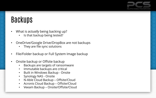

# Backups

- What is *actually* being backing up?
	- Is that backup being tested?
- OneDrive/Google Drive/DropBox are not backups
	- They are file sync solutions
- File/Folder backup or Full System Image backup
- Onsite backup or Offsite backup
	- Backups are targets of ransomware
	- Immutable backups are critical
	- Built in Windows Backup Onsite
	- Synology NAS Onsite
	- N-Able Cloud Backup Offsite/Cloud
	- Acronis Cloud Backup Offsite/Cloud
	- Veeam Backup Onsite/Offsite/Cloud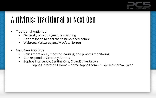

# Antivirus: Traditional or Next Gen

- Traditional Antivirus
	- Generally only do signature scanning
	- Can't respond to a threat it's never seen before
	- Webroot, Malwarebytes, McAfee, Norton
- Next Gen Antivirus
	- Relies more on AI, machine learning, and process monitoring
	- Can respond to Zero Day Attacks
	- Sophos Intercept X, SentinelOne, CrowdStrike Falcon
		- Sophos Intercept X Home home.sophos.com 10 devices for \$45/year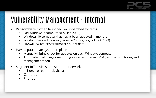

### Vulnerability Management - Internal

- Ransomware if often launched on unpatched systems
	- Old Windows 7 computer (EoL Jan 2020)
	- Windows 10 computer that hasn't been updated in months
	- Windows Server Updates (Server 2012R2 going EoL Oct 2023)
	- Firewall/switch/server firmware out of date
- Have a patch plan system in place
	- Manually hitting check for updates on each Windows computer
	- Automated patching done through a system like an RMM (remote monitoring and management tool)
- Segment IoT devices into separate network
	- IoT devices (smart devices)
	- Cameras
	- Phones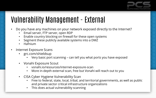

## Vulnerability Management - External

- Do you have any machines on your network exposed directly to the Internet?
	- Email server, FTP server, open RDP
	- Enable country blocking on firewall for these open systems
	- Segment these publicly available systems into a DMZ
	- Hafnium
- Internet Exposure Scans
	- grc.com/shieldsup
		- Very basic port scanning can tell you what ports you have exposed
	- Vonahi Exposure Scout
		- vonahi.io/resources/internet-exposure-scan
		- More in-depth external scan, free but Vonahi will reach out to you
	- CISA Cyber Hygiene Vulnerability Scan
		- Free to federal, state, local, tribal, and territorial governments, as well as public and private sector critical infrastructure organizations
		- This does actual vulnerability scanning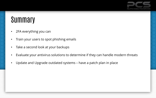

### **Summary**

- 2FA everything you can
- Train your users to spot phishing emails
- Take a second look at your backups
- Evaluate your antivirus solutions to determine if they can handle modern threats
- Update and Upgrade outdated systems have a patch plan in place